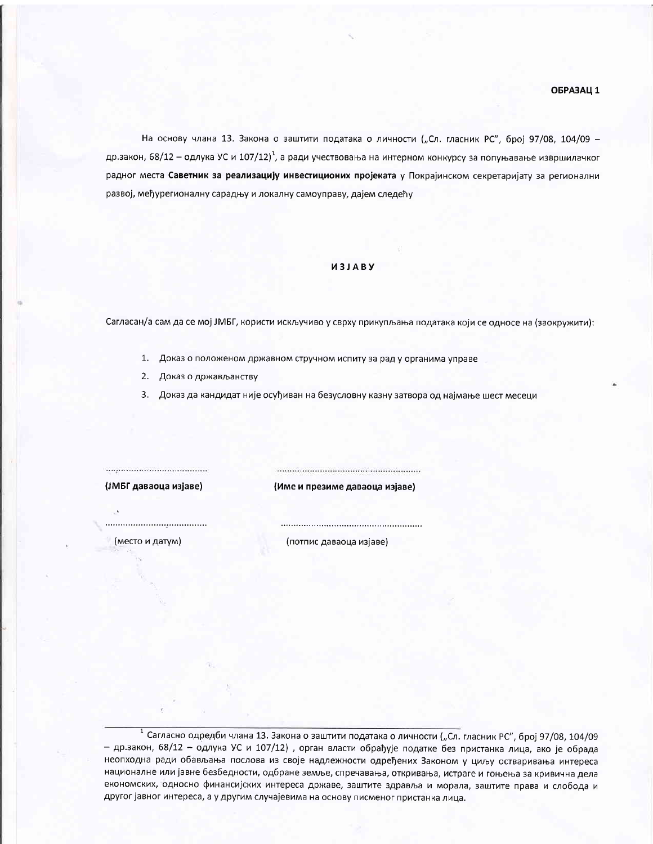На основу члана 13. Закона о заштити података о личности ("Сл. гласник РС", број 97/08, 104/09 др.закон, 68/12 – одлука УС и 107/12)<sup>1</sup>, а ради учествовања на интерном конкурсу за попуњавање извршилачког радног места Саветник за реализацију инвестиционих пројеката у Покрајинском секретаријату за регионални развој, међурегионалну сарадњу и локалну самоуправу, дајем следећу

## *U3JABY*

Сагласан/а сам да се мој ЈМБГ, користи искључиво у сврху прикупљања података који се односе на (заокружити):

- 1. Доказ о положеном државном стручном испиту за рад у органима управе
- 2. Доказ о држављанству
- 3. Доказ да кандидат није осуђиван на безусловну казну затвора од најмање шест месеци

(ЈМБГ даваоца изјаве)

(Име и презиме даваоца изјаве)

(место и датум)

(потпис даваоца изјаве)

<sup>1</sup> Сагласно одредби члана 13. Закона о заштити података о личности ("Сл. гласник РС", број 97/08, 104/09 - др.закон, 68/12 - одлука УС и 107/12), орган власти обрађује податке без пристанка лица, ако је обрада неопходна ради обављања послова из своје надлежности одређених Законом у циљу остваривања интереса националне или јавне безбедности, одбране земље, спречавања, откривања, истраге и гоњења за кривична дела економских, односно финансијских интереса државе, заштите здравља и морала, заштите права и слобода и другог јавног интереса, а у другим случајевима на основу писменог пристанка лица.